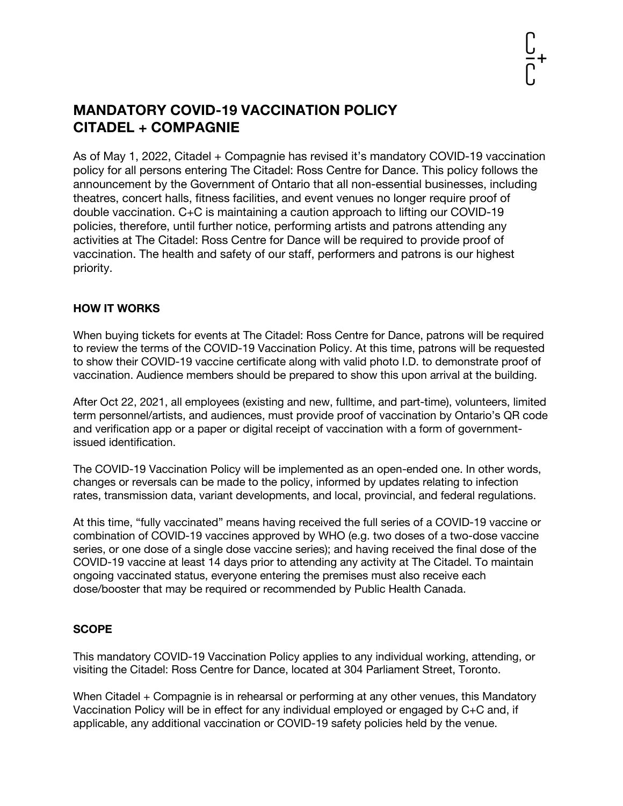# **MANDATORY COVID-19 VACCINATION POLICY CITADEL + COMPAGNIE**

As of May 1, 2022, Citadel + Compagnie has revised it's mandatory COVID-19 vaccination policy for all persons entering The Citadel: Ross Centre for Dance. This policy follows the announcement by the Government of Ontario that all non-essential businesses, including theatres, concert halls, fitness facilities, and event venues no longer require proof of double vaccination. C+C is maintaining a caution approach to lifting our COVID-19 policies, therefore, until further notice, performing artists and patrons attending any activities at The Citadel: Ross Centre for Dance will be required to provide proof of vaccination. The health and safety of our staff, performers and patrons is our highest priority.

### **HOW IT WORKS**

When buying tickets for events at The Citadel: Ross Centre for Dance, patrons will be required to review the terms of the COVID-19 Vaccination Policy. At this time, patrons will be requested to show their COVID-19 vaccine certificate along with valid photo I.D. to demonstrate proof of vaccination. Audience members should be prepared to show this upon arrival at the building.

After Oct 22, 2021, all employees (existing and new, fulltime, and part-time), volunteers, limited term personnel/artists, and audiences, must provide proof of vaccination by Ontario's QR code and verification app or a paper or digital receipt of vaccination with a form of governmentissued identification.

The COVID-19 Vaccination Policy will be implemented as an open-ended one. In other words, changes or reversals can be made to the policy, informed by updates relating to infection rates, transmission data, variant developments, and local, provincial, and federal regulations.

At this time, "fully vaccinated" means having received the full series of a COVID-19 vaccine or combination of COVID-19 vaccines approved by WHO (e.g. two doses of a two-dose vaccine series, or one dose of a single dose vaccine series); and having received the final dose of the COVID-19 vaccine at least 14 days prior to attending any activity at The Citadel. To maintain ongoing vaccinated status, everyone entering the premises must also receive each dose/booster that may be required or recommended by Public Health Canada.

## **SCOPE**

This mandatory COVID-19 Vaccination Policy applies to any individual working, attending, or visiting the Citadel: Ross Centre for Dance, located at 304 Parliament Street, Toronto.

When Citadel + Compagnie is in rehearsal or performing at any other venues, this Mandatory Vaccination Policy will be in effect for any individual employed or engaged by C+C and, if applicable, any additional vaccination or COVID-19 safety policies held by the venue.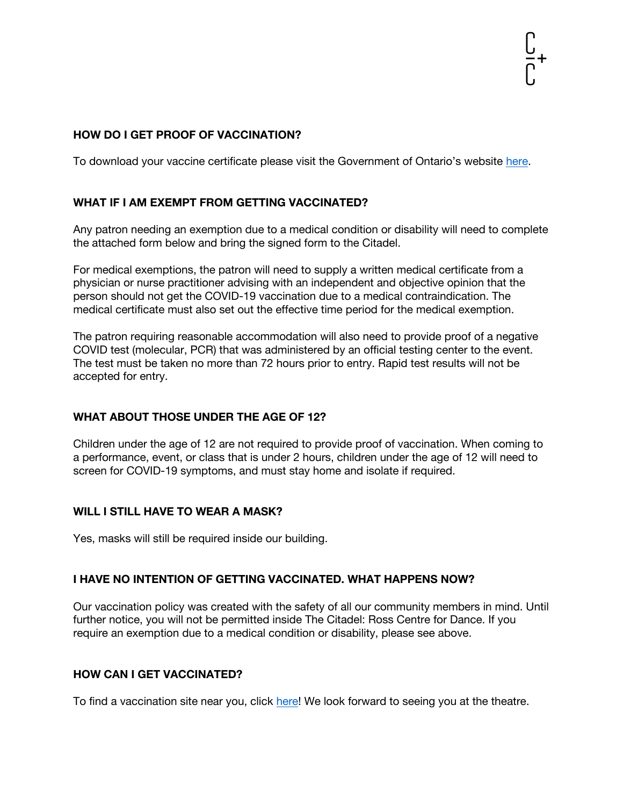### **HOW DO I GET PROOF OF VACCINATION?**

To download your vaccine certificate please visit the Government of Ontario's website here.

### **WHAT IF I AM EXEMPT FROM GETTING VACCINATED?**

Any patron needing an exemption due to a medical condition or disability will need to complete the attached form below and bring the signed form to the Citadel.

For medical exemptions, the patron will need to supply a written medical certificate from a physician or nurse practitioner advising with an independent and objective opinion that the person should not get the COVID-19 vaccination due to a medical contraindication. The medical certificate must also set out the effective time period for the medical exemption.

The patron requiring reasonable accommodation will also need to provide proof of a negative COVID test (molecular, PCR) that was administered by an official testing center to the event. The test must be taken no more than 72 hours prior to entry. Rapid test results will not be accepted for entry.

#### **WHAT ABOUT THOSE UNDER THE AGE OF 12?**

Children under the age of 12 are not required to provide proof of vaccination. When coming to a performance, event, or class that is under 2 hours, children under the age of 12 will need to screen for COVID-19 symptoms, and must stay home and isolate if required.

#### **WILL I STILL HAVE TO WEAR A MASK?**

Yes, masks will still be required inside our building.

#### **I HAVE NO INTENTION OF GETTING VACCINATED. WHAT HAPPENS NOW?**

Our vaccination policy was created with the safety of all our community members in mind. Until further notice, you will not be permitted inside The Citadel: Ross Centre for Dance. If you require an exemption due to a medical condition or disability, please see above.

#### **HOW CAN I GET VACCINATED?**

To find a vaccination site near you, click here! We look forward to seeing you at the theatre.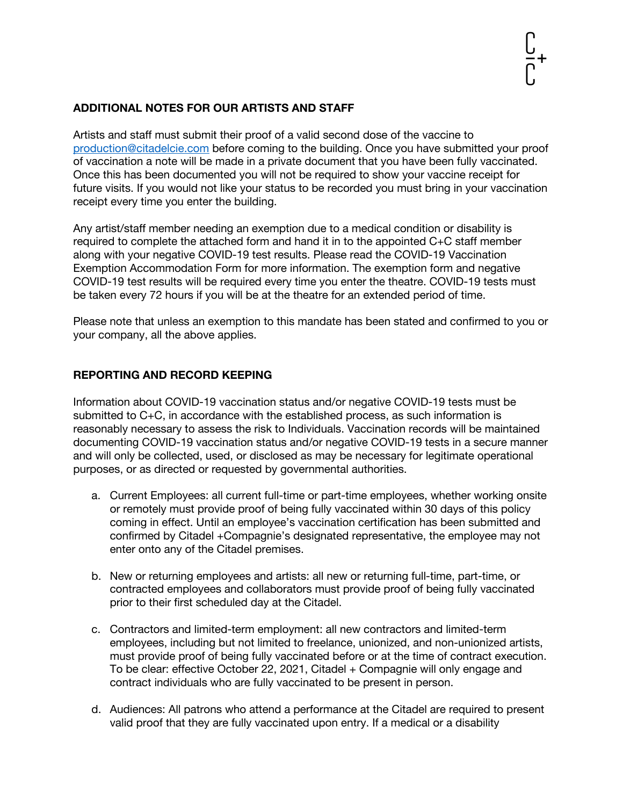## **ADDITIONAL NOTES FOR OUR ARTISTS AND STAFF**

Artists and staff must submit their proof of a valid second dose of the vaccine to production@citadelcie.com before coming to the building. Once you have submitted your proof of vaccination a note will be made in a private document that you have been fully vaccinated. Once this has been documented you will not be required to show your vaccine receipt for future visits. If you would not like your status to be recorded you must bring in your vaccination receipt every time you enter the building.

Any artist/staff member needing an exemption due to a medical condition or disability is required to complete the attached form and hand it in to the appointed C+C staff member along with your negative COVID-19 test results. Please read the COVID-19 Vaccination Exemption Accommodation Form for more information. The exemption form and negative COVID-19 test results will be required every time you enter the theatre. COVID-19 tests must be taken every 72 hours if you will be at the theatre for an extended period of time.

Please note that unless an exemption to this mandate has been stated and confirmed to you or your company, all the above applies.

### **REPORTING AND RECORD KEEPING**

Information about COVID-19 vaccination status and/or negative COVID-19 tests must be submitted to C+C, in accordance with the established process, as such information is reasonably necessary to assess the risk to Individuals. Vaccination records will be maintained documenting COVID-19 vaccination status and/or negative COVID-19 tests in a secure manner and will only be collected, used, or disclosed as may be necessary for legitimate operational purposes, or as directed or requested by governmental authorities.

- a. Current Employees: all current full-time or part-time employees, whether working onsite or remotely must provide proof of being fully vaccinated within 30 days of this policy coming in effect. Until an employee's vaccination certification has been submitted and confirmed by Citadel +Compagnie's designated representative, the employee may not enter onto any of the Citadel premises.
- b. New or returning employees and artists: all new or returning full-time, part-time, or contracted employees and collaborators must provide proof of being fully vaccinated prior to their first scheduled day at the Citadel.
- c. Contractors and limited-term employment: all new contractors and limited-term employees, including but not limited to freelance, unionized, and non-unionized artists, must provide proof of being fully vaccinated before or at the time of contract execution. To be clear: effective October 22, 2021, Citadel + Compagnie will only engage and contract individuals who are fully vaccinated to be present in person.
- d. Audiences: All patrons who attend a performance at the Citadel are required to present valid proof that they are fully vaccinated upon entry. If a medical or a disability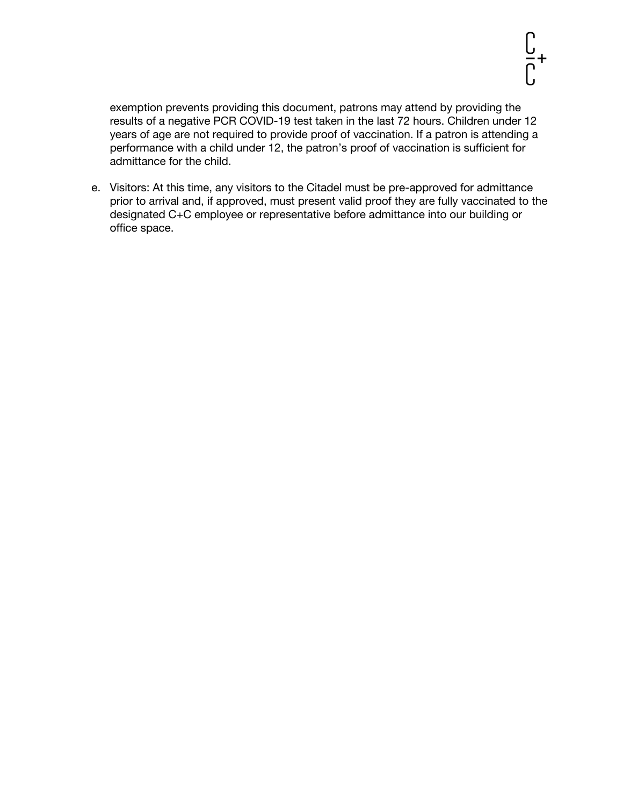exemption prevents providing this document, patrons may attend by providing the results of a negative PCR COVID-19 test taken in the last 72 hours. Children under 12 years of age are not required to provide proof of vaccination. If a patron is attending a performance with a child under 12, the patron's proof of vaccination is sufficient for admittance for the child.

e. Visitors: At this time, any visitors to the Citadel must be pre-approved for admittance prior to arrival and, if approved, must present valid proof they are fully vaccinated to the designated C+C employee or representative before admittance into our building or office space.